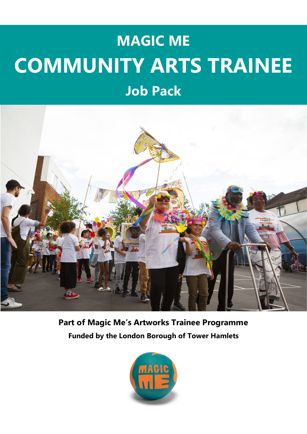## **MAGIC ME COMMUNITY ARTS TRAINEE**





**Part of Magic Me's Artworks Trainee Programme Funded by the London Borough of Tower Hamlets**